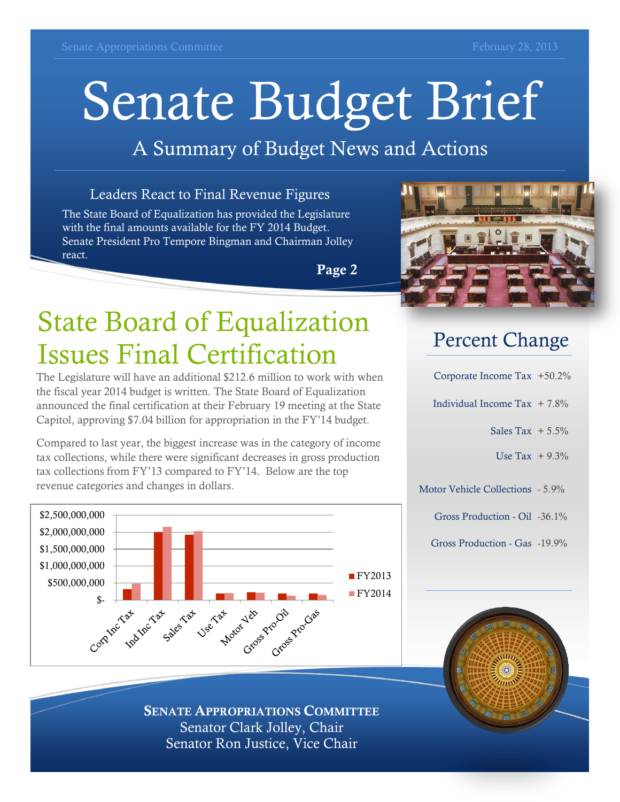# Senate Budget Brief

#### A Summary of Budget News and Actions

#### Leaders React to Final Revenue Figures

The State Board of Equalization has provided the Legislature with the final amounts available for the FY 2014 Budget. Senate President Pro Tempore Bingman and Chairman Jolley react.

**Page 2**

## State Board of Equalization Issues Final Certification

The Legislature will have an additional \$212.6 million to work with when the fiscal year 2014 budget is written. The State Board of Equalization announced the final certification at their February 19 meeting at the State Capitol, approving \$7.04 billion for appropriation in the FY'14 budget.

Compared to last year, the biggest increase was in the category of income tax collections, while there were significant decreases in gross production tax collections from FY'13 compared to FY'14. Below are the top revenue categories and changes in dollars.





#### Percent Change

| Corporate Income Tax $+50.2\%$   |  |
|----------------------------------|--|
| Individual Income Tax $+7.8\%$   |  |
| Sales Tax $+5.5\%$               |  |
| Use Tax $+9.3\%$                 |  |
| Motor Vehicle Collections - 5.9% |  |
| Gross Production - Oil -36.1%    |  |
| Gross Production - Gas -19.9%    |  |

**SENATE APPROPRIATIONS COMMITTEE** Senator Clark Jolley, Chair Senator Ron Justice, Vice Chair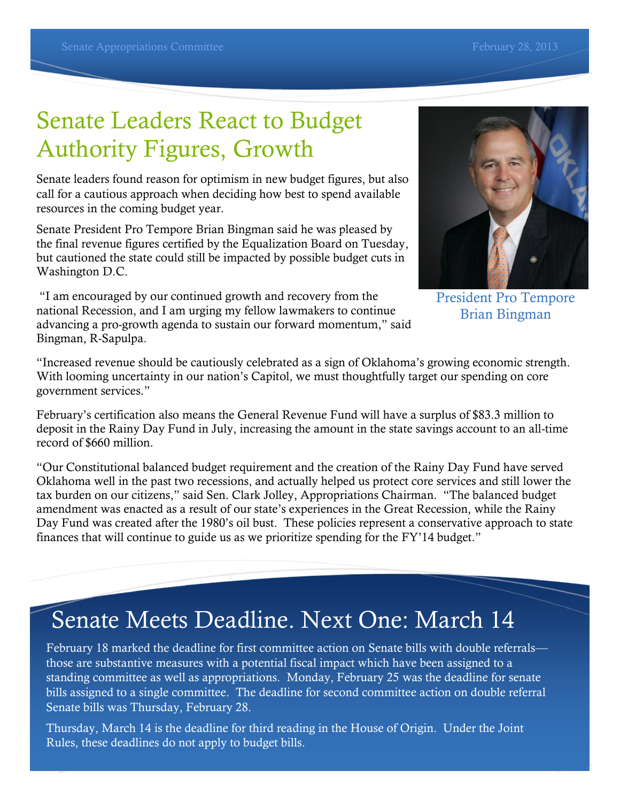## Senate Leaders React to Budget Authority Figures, Growth

Senate leaders found reason for optimism in new budget figures, but also call for a cautious approach when deciding how best to spend available resources in the coming budget year.

Senate President Pro Tempore Brian Bingman said he was pleased by the final revenue figures certified by the Equalization Board on Tuesday, but cautioned the state could still be impacted by possible budget cuts in Washington D.C.

"I am encouraged by our continued growth and recovery from the national Recession, and I am urging my fellow lawmakers to continue advancing a pro-growth agenda to sustain our forward momentum," said Bingman, R-Sapulpa.

President Pro Tempore Brian Bingman

"Increased revenue should be cautiously celebrated as a sign of Oklahoma's growing economic strength. With looming uncertainty in our nation's Capitol, we must thoughtfully target our spending on core government services."

February's certification also means the General Revenue Fund will have a surplus of \$83.3 million to deposit in the Rainy Day Fund in July, increasing the amount in the state savings account to an all-time record of \$660 million.

"Our Constitutional balanced budget requirement and the creation of the Rainy Day Fund have served Oklahoma well in the past two recessions, and actually helped us protect core services and still lower the tax burden on our citizens," said Sen. Clark Jolley, Appropriations Chairman. "The balanced budget amendment was enacted as a result of our state's experiences in the Great Recession, while the Rainy Day Fund was created after the 1980's oil bust. These policies represent a conservative approach to state finances that will continue to guide us as we prioritize spending for the FY'14 budget."

#### Senate Meets Deadline. Next One: March 14

February 18 marked the deadline for first committee action on Senate bills with double referrals those are substantive measures with a potential fiscal impact which have been assigned to a standing committee as well as appropriations. Monday, February 25 was the deadline for senate bills assigned to a single committee. The deadline for second committee action on double referral Senate bills was Thursday, February 28.

Thursday, March 14 is the deadline for third reading in the House of Origin. Under the Joint Rules, these deadlines do not apply to budget bills.

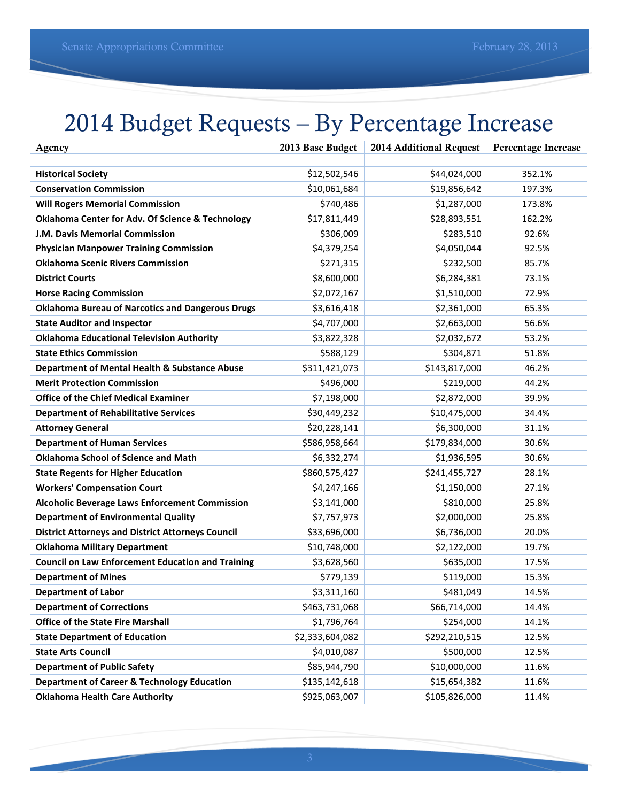## 2014 Budget Requests – By Percentage Increase

| Agency                                                      | 2013 Base Budget | 2014 Additional Request | <b>Percentage Increase</b> |
|-------------------------------------------------------------|------------------|-------------------------|----------------------------|
|                                                             |                  |                         |                            |
| <b>Historical Society</b>                                   | \$12,502,546     | \$44,024,000            | 352.1%                     |
| <b>Conservation Commission</b>                              | \$10,061,684     | \$19,856,642            | 197.3%                     |
| <b>Will Rogers Memorial Commission</b>                      | \$740,486        | \$1,287,000             | 173.8%                     |
| <b>Oklahoma Center for Adv. Of Science &amp; Technology</b> | \$17,811,449     | \$28,893,551            | 162.2%                     |
| J.M. Davis Memorial Commission                              | \$306,009        | \$283,510               | 92.6%                      |
| <b>Physician Manpower Training Commission</b>               | \$4,379,254      | \$4,050,044             | 92.5%                      |
| <b>Oklahoma Scenic Rivers Commission</b>                    | \$271,315        | \$232,500               | 85.7%                      |
| <b>District Courts</b>                                      | \$8,600,000      | \$6,284,381             | 73.1%                      |
| <b>Horse Racing Commission</b>                              | \$2,072,167      | \$1,510,000             | 72.9%                      |
| <b>Oklahoma Bureau of Narcotics and Dangerous Drugs</b>     | \$3,616,418      | \$2,361,000             | 65.3%                      |
| <b>State Auditor and Inspector</b>                          | \$4,707,000      | \$2,663,000             | 56.6%                      |
| <b>Oklahoma Educational Television Authority</b>            | \$3,822,328      | \$2,032,672             | 53.2%                      |
| <b>State Ethics Commission</b>                              | \$588,129        | \$304,871               | 51.8%                      |
| Department of Mental Health & Substance Abuse               | \$311,421,073    | \$143,817,000           | 46.2%                      |
| <b>Merit Protection Commission</b>                          | \$496,000        | \$219,000               | 44.2%                      |
| <b>Office of the Chief Medical Examiner</b>                 | \$7,198,000      | \$2,872,000             | 39.9%                      |
| <b>Department of Rehabilitative Services</b>                | \$30,449,232     | \$10,475,000            | 34.4%                      |
| <b>Attorney General</b>                                     | \$20,228,141     | \$6,300,000             | 31.1%                      |
| <b>Department of Human Services</b>                         | \$586,958,664    | \$179,834,000           | 30.6%                      |
| <b>Oklahoma School of Science and Math</b>                  | \$6,332,274      | \$1,936,595             | 30.6%                      |
| <b>State Regents for Higher Education</b>                   | \$860,575,427    | \$241,455,727           | 28.1%                      |
| <b>Workers' Compensation Court</b>                          | \$4,247,166      | \$1,150,000             | 27.1%                      |
| <b>Alcoholic Beverage Laws Enforcement Commission</b>       | \$3,141,000      | \$810,000               | 25.8%                      |
| <b>Department of Environmental Quality</b>                  | \$7,757,973      | \$2,000,000             | 25.8%                      |
| <b>District Attorneys and District Attorneys Council</b>    | \$33,696,000     | \$6,736,000             | 20.0%                      |
| <b>Oklahoma Military Department</b>                         | \$10,748,000     | \$2,122,000             | 19.7%                      |
| <b>Council on Law Enforcement Education and Training</b>    | \$3,628,560      | \$635,000               | 17.5%                      |
| <b>Department of Mines</b>                                  | \$779,139        | \$119,000               | 15.3%                      |
| <b>Department of Labor</b>                                  | \$3,311,160      | \$481,049               | 14.5%                      |
| <b>Department of Corrections</b>                            | \$463,731,068    | \$66,714,000            | 14.4%                      |
| <b>Office of the State Fire Marshall</b>                    | \$1,796,764      | \$254,000               | 14.1%                      |
| <b>State Department of Education</b>                        | \$2,333,604,082  | \$292,210,515           | 12.5%                      |
| <b>State Arts Council</b>                                   | \$4,010,087      | \$500,000               | 12.5%                      |
| <b>Department of Public Safety</b>                          | \$85,944,790     | \$10,000,000            | 11.6%                      |
| <b>Department of Career &amp; Technology Education</b>      | \$135,142,618    | \$15,654,382            | 11.6%                      |
| <b>Oklahoma Health Care Authority</b>                       | \$925,063,007    | \$105,826,000           | 11.4%                      |